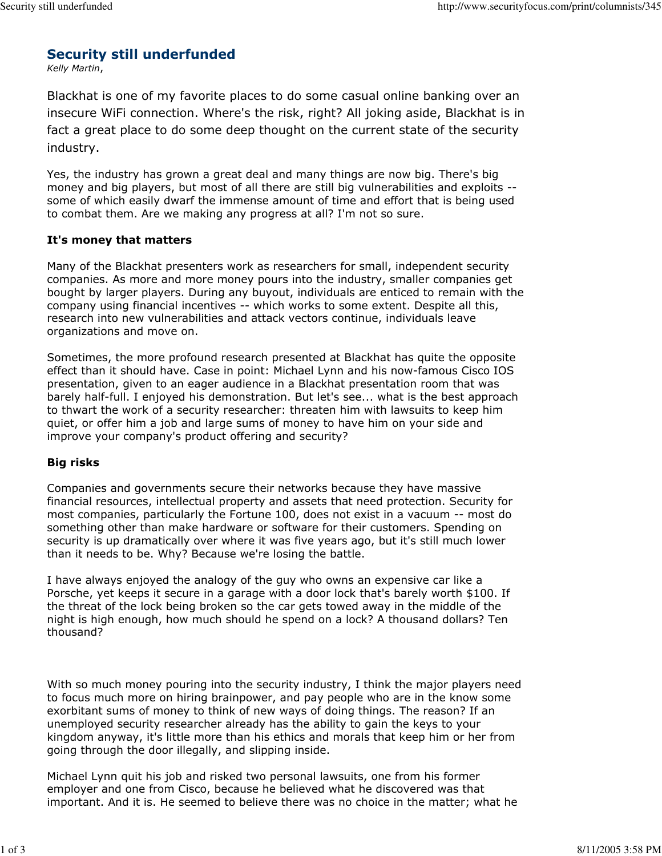# Security still underfunded

Kelly Martin,

Blackhat is one of my favorite places to do some casual online banking over an insecure WiFi connection. Where's the risk, right? All joking aside, Blackhat is in fact a great place to do some deep thought on the current state of the security industry.

Yes, the industry has grown a great deal and many things are now big. There's big money and big players, but most of all there are still big vulnerabilities and exploits - some of which easily dwarf the immense amount of time and effort that is being used to combat them. Are we making any progress at all? I'm not so sure.

# It's money that matters

Many of the Blackhat presenters work as researchers for small, independent security companies. As more and more money pours into the industry, smaller companies get bought by larger players. During any buyout, individuals are enticed to remain with the company using financial incentives -- which works to some extent. Despite all this, research into new vulnerabilities and attack vectors continue, individuals leave organizations and move on.

Sometimes, the more profound research presented at Blackhat has quite the opposite effect than it should have. Case in point: Michael Lynn and his now-famous Cisco IOS presentation, given to an eager audience in a Blackhat presentation room that was barely half-full. I enjoyed his demonstration. But let's see... what is the best approach to thwart the work of a security researcher: threaten him with lawsuits to keep him quiet, or offer him a job and large sums of money to have him on your side and improve your company's product offering and security?

# Big risks

Companies and governments secure their networks because they have massive financial resources, intellectual property and assets that need protection. Security for most companies, particularly the Fortune 100, does not exist in a vacuum -- most do something other than make hardware or software for their customers. Spending on security is up dramatically over where it was five years ago, but it's still much lower than it needs to be. Why? Because we're losing the battle.

I have always enjoyed the analogy of the guy who owns an expensive car like a Porsche, yet keeps it secure in a garage with a door lock that's barely worth \$100. If the threat of the lock being broken so the car gets towed away in the middle of the night is high enough, how much should he spend on a lock? A thousand dollars? Ten thousand?

With so much money pouring into the security industry, I think the major players need to focus much more on hiring brainpower, and pay people who are in the know some exorbitant sums of money to think of new ways of doing things. The reason? If an unemployed security researcher already has the ability to gain the keys to your kingdom anyway, it's little more than his ethics and morals that keep him or her from going through the door illegally, and slipping inside.

Michael Lynn quit his job and risked two personal lawsuits, one from his former employer and one from Cisco, because he believed what he discovered was that important. And it is. He seemed to believe there was no choice in the matter; what he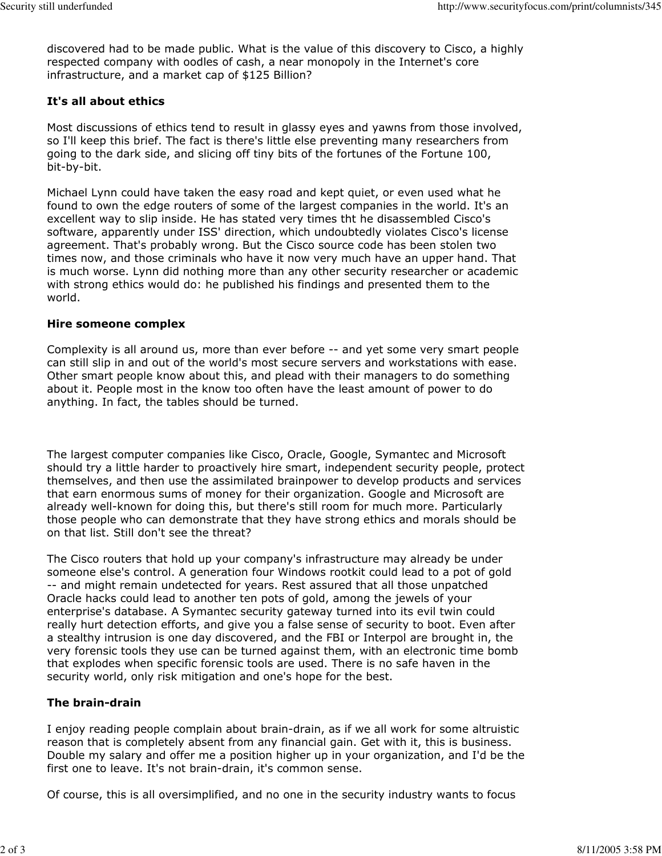discovered had to be made public. What is the value of this discovery to Cisco, a highly respected company with oodles of cash, a near monopoly in the Internet's core infrastructure, and a market cap of \$125 Billion?

# It's all about ethics

Most discussions of ethics tend to result in glassy eyes and yawns from those involved, so I'll keep this brief. The fact is there's little else preventing many researchers from going to the dark side, and slicing off tiny bits of the fortunes of the Fortune 100, bit-by-bit.

Michael Lynn could have taken the easy road and kept quiet, or even used what he found to own the edge routers of some of the largest companies in the world. It's an excellent way to slip inside. He has stated very times tht he disassembled Cisco's software, apparently under ISS' direction, which undoubtedly violates Cisco's license agreement. That's probably wrong. But the Cisco source code has been stolen two times now, and those criminals who have it now very much have an upper hand. That is much worse. Lynn did nothing more than any other security researcher or academic with strong ethics would do: he published his findings and presented them to the world.

# Hire someone complex

Complexity is all around us, more than ever before -- and yet some very smart people can still slip in and out of the world's most secure servers and workstations with ease. Other smart people know about this, and plead with their managers to do something about it. People most in the know too often have the least amount of power to do anything. In fact, the tables should be turned.

The largest computer companies like Cisco, Oracle, Google, Symantec and Microsoft should try a little harder to proactively hire smart, independent security people, protect themselves, and then use the assimilated brainpower to develop products and services that earn enormous sums of money for their organization. Google and Microsoft are already well-known for doing this, but there's still room for much more. Particularly those people who can demonstrate that they have strong ethics and morals should be on that list. Still don't see the threat?

The Cisco routers that hold up your company's infrastructure may already be under someone else's control. A generation four Windows rootkit could lead to a pot of gold -- and might remain undetected for years. Rest assured that all those unpatched Oracle hacks could lead to another ten pots of gold, among the jewels of your enterprise's database. A Symantec security gateway turned into its evil twin could really hurt detection efforts, and give you a false sense of security to boot. Even after a stealthy intrusion is one day discovered, and the FBI or Interpol are brought in, the very forensic tools they use can be turned against them, with an electronic time bomb that explodes when specific forensic tools are used. There is no safe haven in the security world, only risk mitigation and one's hope for the best.

# The brain-drain

I enjoy reading people complain about brain-drain, as if we all work for some altruistic reason that is completely absent from any financial gain. Get with it, this is business. Double my salary and offer me a position higher up in your organization, and I'd be the first one to leave. It's not brain-drain, it's common sense.

Of course, this is all oversimplified, and no one in the security industry wants to focus